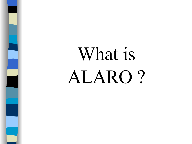# What is ALARO ?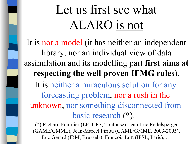## Let us first see what ALARO is not

It is not a model (it has neither an independent library, nor an individual view of data assimilation and its modelling part **first aims at respecting the well proven IFMG rules**). It is neither a miraculous solution for any forecasting problem, nor a rush in the unknown, nor something disconnected from basic research (\*).

(\*) Richard Fournier (LE, UPS, Toulouse), Jean-Luc Redelsperger (GAME/GMME), Jean-Marcel Piriou (GAME/GMME, 2003-2005), Luc Gerard (IRM, Brussels), François Lott (IPSL, Paris), …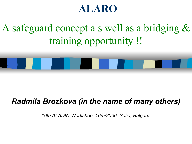#### **ALARO**

A safeguard concept a s well as a bridging & training opportunity !!

#### *Radmila Brozkova (in the name of many others)*

*16th ALADIN-Workshop, 16/5/2006, Sofia, Bulgaria*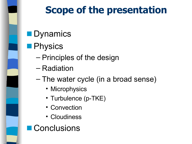

### **Scope of the presentation**

- Dynamics
- Physics
	- Principles of the design
	- Radiation
	- The water cycle (in a broad sense)
		- Microphysics
		- Turbulence (p-TKE)
		- Convection
		- Cloudiness
- **Conclusions**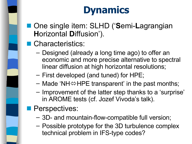### **Dynamics**

■ One single item: SLHD ('Semi-Lagrangian **H**orizontal **D**iffusion').

#### ■ Characteristics:

- Designed (already a long time ago) to offer an economic and more precise alternative to spectral linear diffusion at high horizontal resolutions;
- First developed (and tuned) for HPE;
- $-$  Made 'NH $\Leftrightarrow$ HPE transparent' in the past months;
- Improvement of the latter step thanks to a 'surprise' in AROME tests (cf. Jozef Vivoda's talk).
- Perspectives:
	- 3D- and mountain-flow-compatible full version;
	- Possible prototype for the 3D turbulence complex technical problem in IFS-type codes?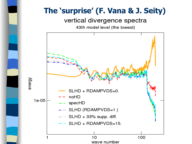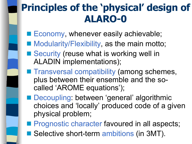### **Principles of the 'physical' design of ALARO-0**

- Economy, whenever easily achievable;
- Modularity/Flexibility, as the main motto;
- Security (reuse what is working well in ALADIN implementations);
- Transversal compatibility (among schemes, plus between their ensemble and the socalled 'AROME equations');
	- Decoupling: between 'general' algorithmic choices and 'locally' produced code of a given physical problem;
- Prognostic character favoured in all aspects;
- Selective short-term ambitions (in 3MT).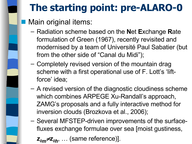### **The starting point: pre-ALARO-0**

- Main original items:
	- Radiation scheme based on the **N**et **E**xchange **R**ate formulation of Green (1967), recently revisited and modernised by a team of Université Paul Sabatier (but from the other side of "Canal du Midi");
	- Completely revised version of the mountain drag scheme with a first operational use of F. Lott's 'liftforce' idea;
	- A revised version of the diagnostic cloudiness scheme which combines ARPEGE Xu-Randall's approach, ZAMG's proposals and a fully interactive method for inversion clouds (Brozkova et al., 2006);
	- Several MFSTEP-driven improvements of the surfacefluxes exchange formulae over sea [moist gustiness,

*z0mz0<sup>h</sup>* , … (same reference)].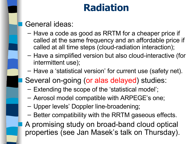#### **Radiation**

#### General ideas:

- Have a code as good as RRTM for a cheaper price if called at the same frequency and an affordable price if called at all time steps (cloud-radiation interaction);
- Have a simplified version but also cloud-interactive (for intermittent use);
- Have a 'statistical version' for current use (safety net).
- Several on-going (or alas delayed) studies:
- Extending the scope of the 'statistical model';
- Aerosol model compatible with ARPEGE's one;
- Upper levels' Doppler line-broadening;
- Better compatibility with the RRTM gaseous effects. A promising study on broad-band cloud optical properties (see Jan Masek's talk on Thursday).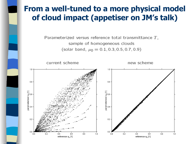#### **From a well-tuned to a more physical model of cloud impact (appetiser on JM's talk)**

Parameterized versus reference total transmittance  $T$ , sample of homogeneous clouds (solar band,  $\mu_0 = 0.1, 0.3, 0.5, 0.7, 0.9$ )

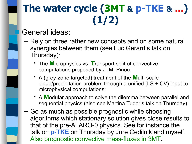### **The water cycle (3MT & p-TKE & ...) (1/2)**

General ideas:

- Rely on three rather new concepts and on some natural synergies between them (see Luc Gerard's talk on Thursday):
	- The **M**icrophysics vs. **T**ransport split of convective computations proposed by J.-M. Piriou;
	- A (grey-zone targeted) treatment of the **M**ulti-scale cloud/precipitation problem through a unified (LS + CV) input to microphysical computations;
	- A **M**odular approach to solve the dilemma between parallel and sequential physics (also see Martina Tudor's talk on Thursday).
- Go as much as possible prognostic while choosing algorithms which stationary solution gives close results to that of the pre-ALARO-0 physics. See for instance the talk on **p-TKE** on Thursday by Jure Cedilnik and myself. Also prognostic convective mass-fluxes in 3MT.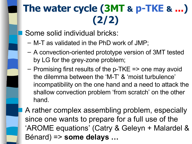### **The water cycle (3MT & p-TKE & ...) (2/2)**

Some solid individual bricks:

- M-T as validated in the PhD work of JMP;
- A convection-oriented prototype version of 3MT tested by LG for the grey-zone problem;
- Promising first results of the p-TKE => one may avoid the dilemma between the 'M-T' & 'moist turbulence' incompatibility on the one hand and a need to attack the shallow convection problem 'from scratch' on the other hand.
- A rather complex assembling problem, especially since one wants to prepare for a full use of the 'AROME equations' (Catry & Geleyn + Malardel & Bénard) => **some delays …**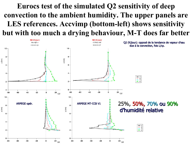#### **Eurocs test of the simulated Q2 sensitivity of deep convection to the ambient humidity. The upper panels are LES references. Accvimp (bottom-left) shows sensitivity but with too much a drying behaviour, M-T does far better**

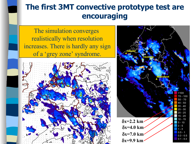#### **The first 3MT convective prototype test are encouraging**

The simulation converges realistically when resolution increases. There is hardly any sign of a 'grey zone' syndrome.